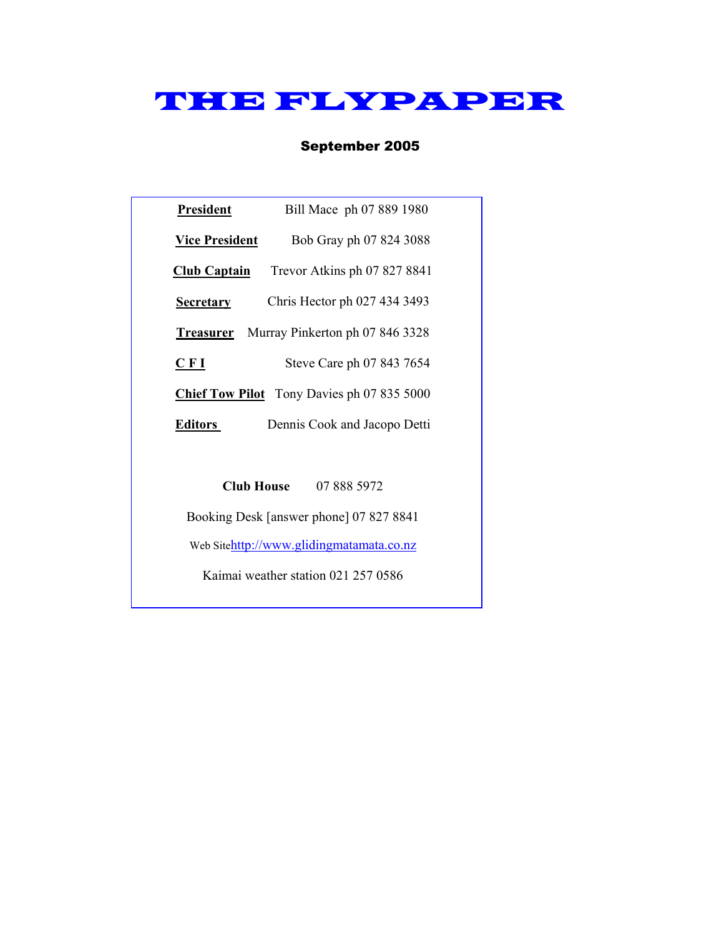# THE FLYPAPER

### September 2005

| President                                         | Bill Mace ph 07 889 1980                         |  |  |
|---------------------------------------------------|--------------------------------------------------|--|--|
| <b>Vice President</b>                             | Bob Gray ph 07 824 3088                          |  |  |
| <b>Club Captain</b>                               | Trevor Atkins ph 07 827 8841                     |  |  |
| <b>Secretary</b>                                  | Chris Hector ph 027 434 3493                     |  |  |
|                                                   | <b>Treasurer</b> Murray Pinkerton ph 07 846 3328 |  |  |
| CFI                                               | Steve Care ph 07 843 7654                        |  |  |
| <b>Chief Tow Pilot</b> Tony Davies ph 07 835 5000 |                                                  |  |  |
| Editors                                           | Dennis Cook and Jacopo Detti                     |  |  |
|                                                   |                                                  |  |  |
| Club House                                        | 07 888 5972                                      |  |  |

Booking Desk [answer phone] 07 827 8841

Web Sitehttp://www.glidingmatamata.co.nz

Kaimai weather station 021 257 0586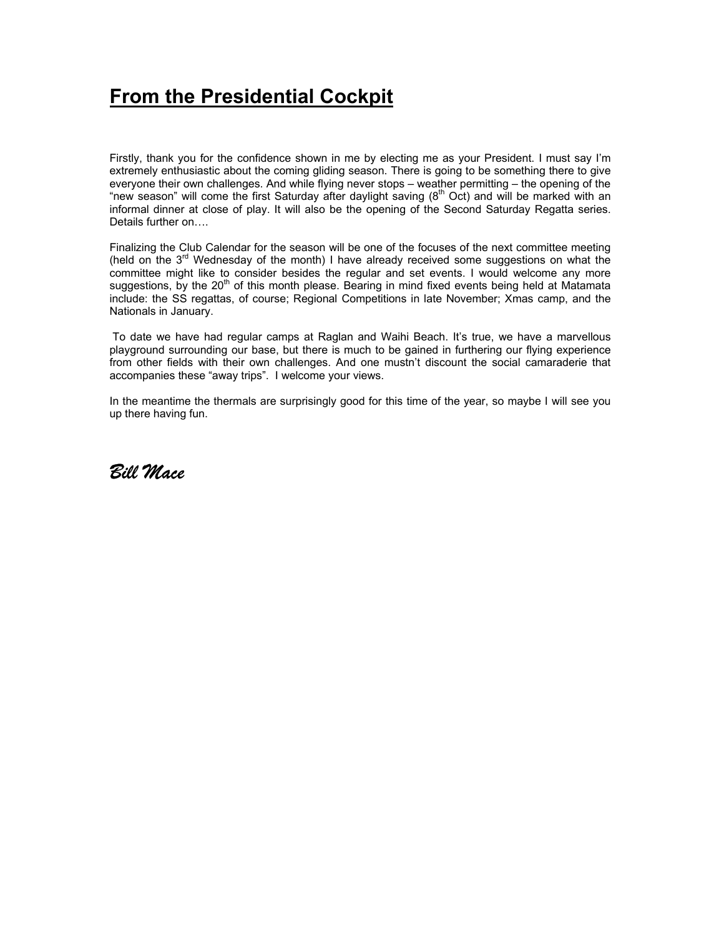## **From the Presidential Cockpit**

Firstly, thank you for the confidence shown in me by electing me as your President. I must say I'm extremely enthusiastic about the coming gliding season. There is going to be something there to give everyone their own challenges. And while flying never stops – weather permitting – the opening of the "new season" will come the first Saturday after daylight saving (8<sup>th</sup> Oct) and will be marked with an informal dinner at close of play. It will also be the opening of the Second Saturday Regatta series. Details further on….

Finalizing the Club Calendar for the season will be one of the focuses of the next committee meeting (held on the 3<sup>rd</sup> Wednesday of the month) I have already received some suggestions on what the committee might like to consider besides the regular and set events. I would welcome any more suggestions, by the  $20<sup>th</sup>$  of this month please. Bearing in mind fixed events being held at Matamata include: the SS regattas, of course; Regional Competitions in late November; Xmas camp, and the Nationals in January.

 To date we have had regular camps at Raglan and Waihi Beach. It's true, we have a marvellous playground surrounding our base, but there is much to be gained in furthering our flying experience from other fields with their own challenges. And one mustn't discount the social camaraderie that accompanies these "away trips". I welcome your views.

In the meantime the thermals are surprisingly good for this time of the year, so maybe I will see you up there having fun.

*Bill Mace*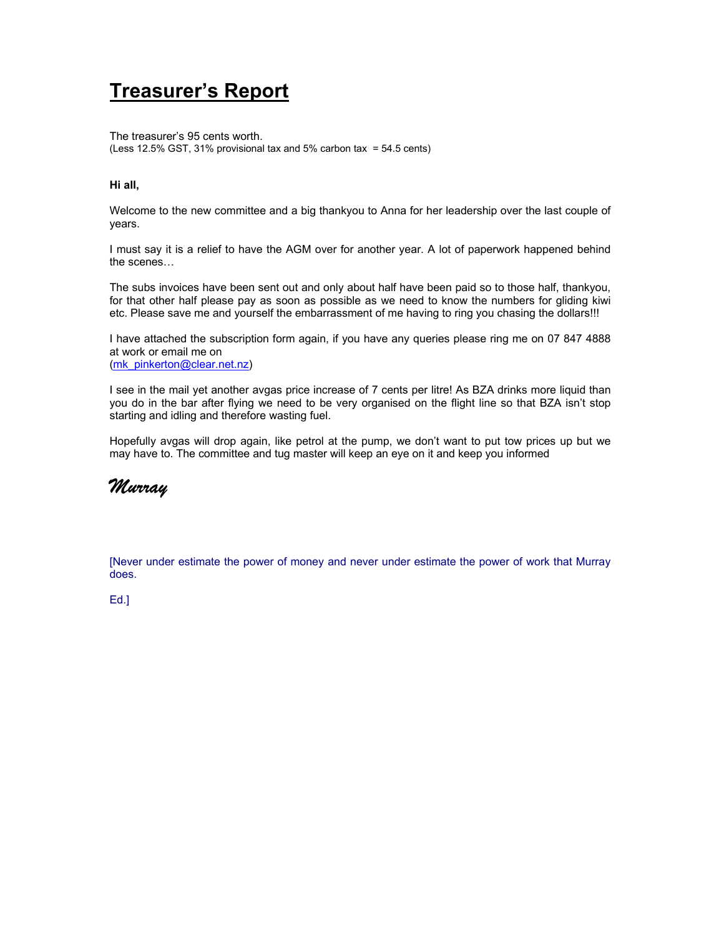## **Treasurer's Report**

The treasurer's 95 cents worth. (Less 12.5% GST, 31% provisional tax and 5% carbon tax = 54.5 cents)

### **Hi all,**

Welcome to the new committee and a big thankyou to Anna for her leadership over the last couple of years.

I must say it is a relief to have the AGM over for another year. A lot of paperwork happened behind the scenes…

The subs invoices have been sent out and only about half have been paid so to those half, thankyou, for that other half please pay as soon as possible as we need to know the numbers for gliding kiwi etc. Please save me and yourself the embarrassment of me having to ring you chasing the dollars!!!

I have attached the subscription form again, if you have any queries please ring me on 07 847 4888 at work or email me on (mk\_pinkerton@clear.net.nz)

I see in the mail yet another avgas price increase of 7 cents per litre! As BZA drinks more liquid than you do in the bar after flying we need to be very organised on the flight line so that BZA isn't stop starting and idling and therefore wasting fuel.

Hopefully avgas will drop again, like petrol at the pump, we don't want to put tow prices up but we may have to. The committee and tug master will keep an eye on it and keep you informed



[Never under estimate the power of money and never under estimate the power of work that Murray does.

Ed.]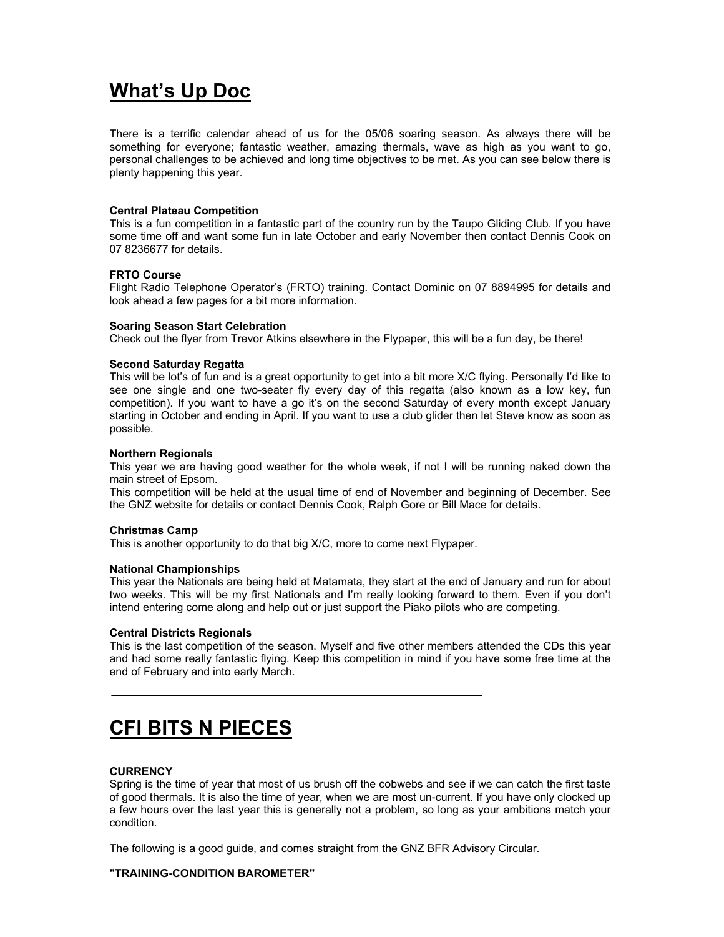## **What's Up Doc**

There is a terrific calendar ahead of us for the 05/06 soaring season. As always there will be something for everyone; fantastic weather, amazing thermals, wave as high as you want to go, personal challenges to be achieved and long time objectives to be met. As you can see below there is plenty happening this year.

### **Central Plateau Competition**

This is a fun competition in a fantastic part of the country run by the Taupo Gliding Club. If you have some time off and want some fun in late October and early November then contact Dennis Cook on 07 8236677 for details.

### **FRTO Course**

Flight Radio Telephone Operator's (FRTO) training. Contact Dominic on 07 8894995 for details and look ahead a few pages for a bit more information.

### **Soaring Season Start Celebration**

Check out the flyer from Trevor Atkins elsewhere in the Flypaper, this will be a fun day, be there!

### **Second Saturday Regatta**

This will be lot's of fun and is a great opportunity to get into a bit more X/C flying. Personally I'd like to see one single and one two-seater fly every day of this regatta (also known as a low key, fun competition). If you want to have a go it's on the second Saturday of every month except January starting in October and ending in April. If you want to use a club glider then let Steve know as soon as possible.

### **Northern Regionals**

This year we are having good weather for the whole week, if not I will be running naked down the main street of Epsom.

This competition will be held at the usual time of end of November and beginning of December. See the GNZ website for details or contact Dennis Cook, Ralph Gore or Bill Mace for details.

### **Christmas Camp**

This is another opportunity to do that big X/C, more to come next Flypaper.

### **National Championships**

This year the Nationals are being held at Matamata, they start at the end of January and run for about two weeks. This will be my first Nationals and I'm really looking forward to them. Even if you don't intend entering come along and help out or just support the Piako pilots who are competing.

### **Central Districts Regionals**

This is the last competition of the season. Myself and five other members attended the CDs this year and had some really fantastic flying. Keep this competition in mind if you have some free time at the end of February and into early March.

### **CFI BITS N PIECES**

### **CURRENCY**

Spring is the time of year that most of us brush off the cobwebs and see if we can catch the first taste of good thermals. It is also the time of year, when we are most un-current. If you have only clocked up a few hours over the last year this is generally not a problem, so long as your ambitions match your condition.

The following is a good guide, and comes straight from the GNZ BFR Advisory Circular.

### **"TRAINING-CONDITION BAROMETER"**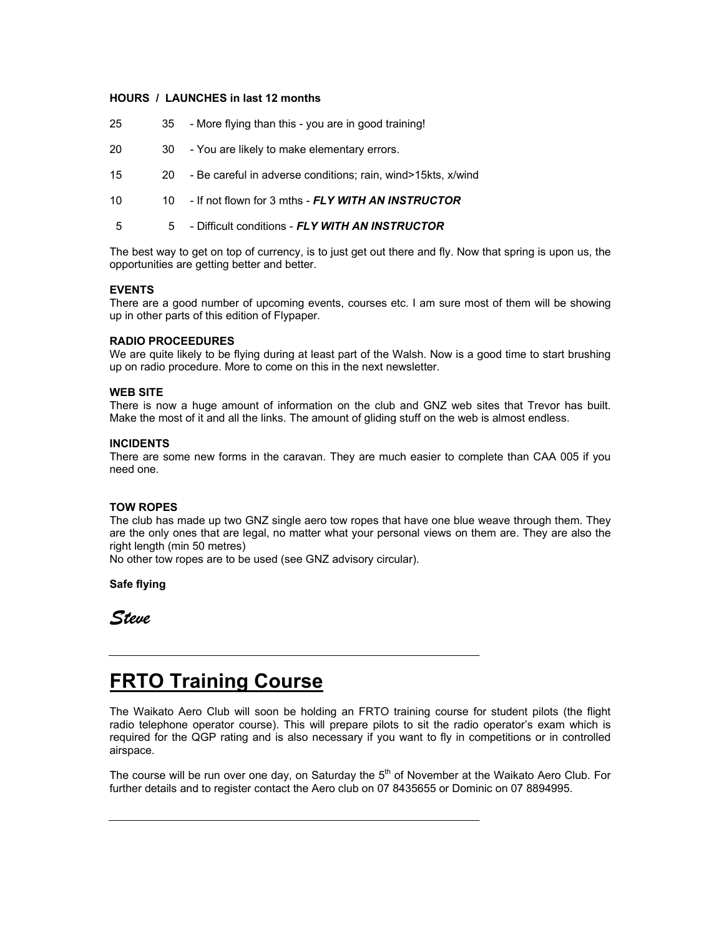### **HOURS / LAUNCHES in last 12 months**

- 25 35 More flying than this you are in good training!
- 20 30 You are likely to make elementary errors.
- 15 20 Be careful in adverse conditions; rain, wind>15kts, x/wind
- 10 10 If not flown for 3 mths *FLY WITH AN INSTRUCTOR*
- 5 5 Difficult conditions *FLY WITH AN INSTRUCTOR*

The best way to get on top of currency, is to just get out there and fly. Now that spring is upon us, the opportunities are getting better and better.

### **EVENTS**

There are a good number of upcoming events, courses etc. I am sure most of them will be showing up in other parts of this edition of Flypaper.

### **RADIO PROCEEDURES**

We are quite likely to be flying during at least part of the Walsh. Now is a good time to start brushing up on radio procedure. More to come on this in the next newsletter.

### **WEB SITE**

There is now a huge amount of information on the club and GNZ web sites that Trevor has built. Make the most of it and all the links. The amount of gliding stuff on the web is almost endless.

### **INCIDENTS**

There are some new forms in the caravan. They are much easier to complete than CAA 005 if you need one.

### **TOW ROPES**

The club has made up two GNZ single aero tow ropes that have one blue weave through them. They are the only ones that are legal, no matter what your personal views on them are. They are also the right length (min 50 metres)

No other tow ropes are to be used (see GNZ advisory circular).

**Safe flying** 

*Steve* 

### **FRTO Training Course**

The Waikato Aero Club will soon be holding an FRTO training course for student pilots (the flight radio telephone operator course). This will prepare pilots to sit the radio operator's exam which is required for the QGP rating and is also necessary if you want to fly in competitions or in controlled airspace.

The course will be run over one day, on Saturday the  $5<sup>th</sup>$  of November at the Waikato Aero Club. For further details and to register contact the Aero club on 07 8435655 or Dominic on 07 8894995.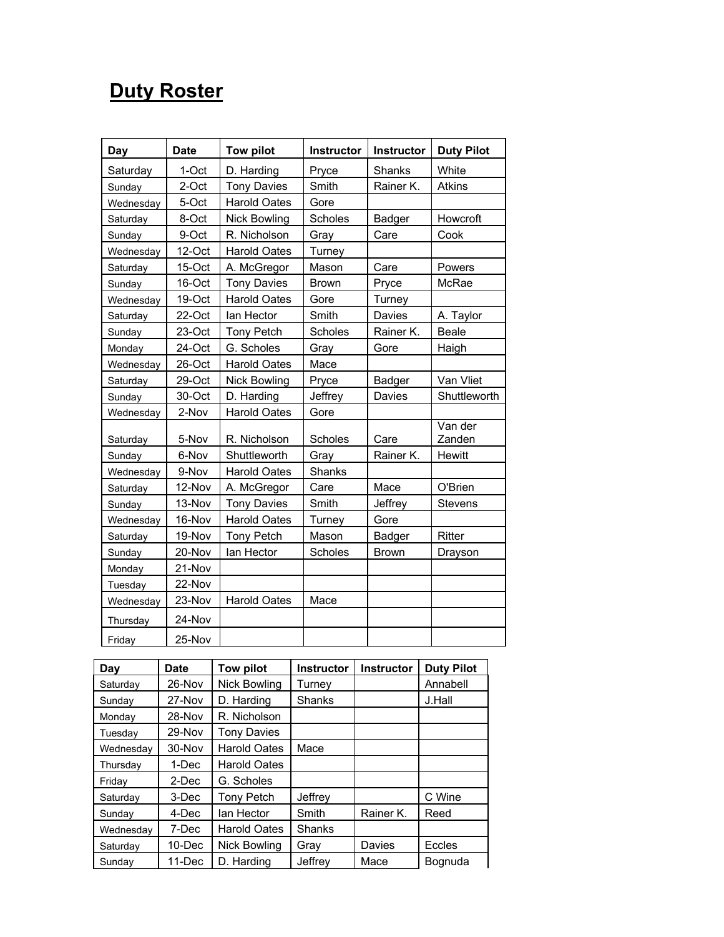## **Duty Roster**

| Day       | <b>Date</b> | <b>Tow pilot</b>    | Instructor   | Instructor    | <b>Duty Pilot</b> |
|-----------|-------------|---------------------|--------------|---------------|-------------------|
| Saturday  | 1-Oct       | D. Harding          | Pryce        | Shanks        | White             |
| Sunday    | 2-Oct       | <b>Tony Davies</b>  | Smith        | Rainer K.     | <b>Atkins</b>     |
| Wednesday | 5-Oct       | <b>Harold Oates</b> | Gore         |               |                   |
| Saturday  | 8-Oct       | <b>Nick Bowling</b> | Scholes      | Badger        | Howcroft          |
| Sunday    | 9-Oct       | R. Nicholson        | Gray         | Care          | Cook              |
| Wednesday | 12-Oct      | <b>Harold Oates</b> | Turney       |               |                   |
| Saturday  | 15-Oct      | A. McGregor         | Mason        | Care          | Powers            |
| Sunday    | 16-Oct      | <b>Tony Davies</b>  | <b>Brown</b> | Pryce         | McRae             |
| Wednesday | 19-Oct      | <b>Harold Oates</b> | Gore         | Turney        |                   |
| Saturday  | 22-Oct      | lan Hector          | Smith        | Davies        | A. Taylor         |
| Sunday    | 23-Oct      | <b>Tony Petch</b>   | Scholes      | Rainer K.     | <b>Beale</b>      |
| Monday    | 24-Oct      | G. Scholes          | Gray         | Gore          | Haigh             |
| Wednesday | 26-Oct      | <b>Harold Oates</b> | Mace         |               |                   |
| Saturday  | 29-Oct      | <b>Nick Bowling</b> | Pryce        | <b>Badger</b> | Van Vliet         |
| Sunday    | 30-Oct      | D. Harding          | Jeffrey      | Davies        | Shuttleworth      |
| Wednesday | 2-Nov       | <b>Harold Oates</b> | Gore         |               |                   |
| Saturday  | 5-Nov       | R. Nicholson        | Scholes      | Care          | Van der<br>Zanden |
| Sunday    | 6-Nov       | Shuttleworth        | Gray         | Rainer K.     | Hewitt            |
| Wednesday | 9-Nov       | <b>Harold Oates</b> | Shanks       |               |                   |
| Saturday  | 12-Nov      | A. McGregor         | Care         | Mace          | O'Brien           |
| Sunday    | 13-Nov      | <b>Tony Davies</b>  | Smith        | Jeffrey       | Stevens           |
| Wednesday | 16-Nov      | <b>Harold Oates</b> | Turney       | Gore          |                   |
| Saturday  | 19-Nov      | Tony Petch          | Mason        | <b>Badger</b> | Ritter            |
| Sunday    | 20-Nov      | lan Hector          | Scholes      | <b>Brown</b>  | Drayson           |
| Monday    | 21-Nov      |                     |              |               |                   |
| Tuesday   | 22-Nov      |                     |              |               |                   |
| Wednesday | 23-Nov      | <b>Harold Oates</b> | Mace         |               |                   |
| Thursday  | 24-Nov      |                     |              |               |                   |
| Friday    | 25-Nov      |                     |              |               |                   |

| Day       | Date   | <b>Tow pilot</b>    | <b>Instructor</b> | <b>Instructor</b> | <b>Duty Pilot</b> |
|-----------|--------|---------------------|-------------------|-------------------|-------------------|
| Saturday  | 26-Nov | <b>Nick Bowling</b> | Turney            |                   | Annabell          |
| Sunday    | 27-Nov | D. Harding          | Shanks            |                   | J.Hall            |
| Monday    | 28-Nov | R. Nicholson        |                   |                   |                   |
| Tuesday   | 29-Nov | <b>Tony Davies</b>  |                   |                   |                   |
| Wednesday | 30-Nov | <b>Harold Oates</b> | Mace              |                   |                   |
| Thursday  | 1-Dec  | <b>Harold Oates</b> |                   |                   |                   |
| Friday    | 2-Dec  | G. Scholes          |                   |                   |                   |
| Saturday  | 3-Dec  | <b>Tony Petch</b>   | Jeffrey           |                   | C Wine            |
| Sunday    | 4-Dec  | lan Hector          | Smith             | Rainer K.         | Reed              |
| Wednesdav | 7-Dec  | <b>Harold Oates</b> | <b>Shanks</b>     |                   |                   |
| Saturday  | 10-Dec | Nick Bowling        | Gray              | Davies            | Eccles            |
| Sunday    | 11-Dec | D. Harding          | Jeffrev           | Mace              | Bognuda           |